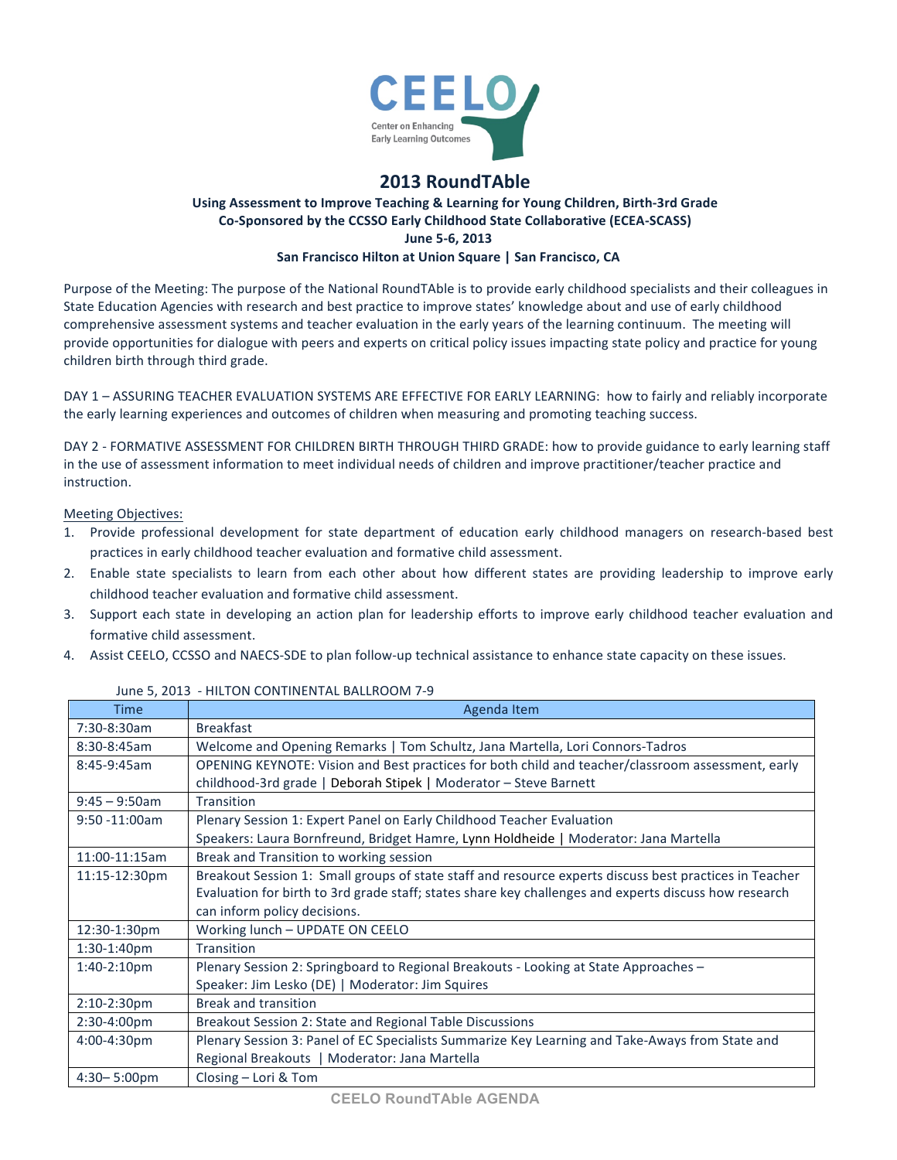

# **2013 RoundTAble**

## Using Assessment to Improve Teaching & Learning for Young Children, Birth-3rd Grade Co-Sponsored by the CCSSO Early Childhood State Collaborative (ECEA-SCASS) **June 5-6, 2013** San Francisco Hilton at Union Square | San Francisco, CA

Purpose of the Meeting: The purpose of the National RoundTAble is to provide early childhood specialists and their colleagues in State Education Agencies with research and best practice to improve states' knowledge about and use of early childhood comprehensive assessment systems and teacher evaluation in the early years of the learning continuum. The meeting will provide opportunities for dialogue with peers and experts on critical policy issues impacting state policy and practice for young children birth through third grade.

DAY 1 - ASSURING TEACHER EVALUATION SYSTEMS ARE EFFECTIVE FOR EARLY LEARNING: how to fairly and reliably incorporate the early learning experiences and outcomes of children when measuring and promoting teaching success.

DAY 2 - FORMATIVE ASSESSMENT FOR CHILDREN BIRTH THROUGH THIRD GRADE: how to provide guidance to early learning staff in the use of assessment information to meet individual needs of children and improve practitioner/teacher practice and instruction.

### Meeting Objectives:

- 1. Provide professional development for state department of education early childhood managers on research-based best practices in early childhood teacher evaluation and formative child assessment.
- 2. Enable state specialists to learn from each other about how different states are providing leadership to improve early childhood teacher evaluation and formative child assessment.
- 3. Support each state in developing an action plan for leadership efforts to improve early childhood teacher evaluation and formative child assessment.
- 4. Assist CEELO, CCSSO and NAECS-SDE to plan follow-up technical assistance to enhance state capacity on these issues.

| <b>Time</b>       | Agenda Item                                                                                            |
|-------------------|--------------------------------------------------------------------------------------------------------|
| 7:30-8:30am       | <b>Breakfast</b>                                                                                       |
| $8:30-8:45am$     | Welcome and Opening Remarks   Tom Schultz, Jana Martella, Lori Connors-Tadros                          |
| 8:45-9:45am       | OPENING KEYNOTE: Vision and Best practices for both child and teacher/classroom assessment, early      |
|                   | childhood-3rd grade   Deborah Stipek   Moderator – Steve Barnett                                       |
| $9:45 - 9:50$ am  | Transition                                                                                             |
| $9:50 - 11:00$ am | Plenary Session 1: Expert Panel on Early Childhood Teacher Evaluation                                  |
|                   | Speakers: Laura Bornfreund, Bridget Hamre, Lynn Holdheide   Moderator: Jana Martella                   |
| 11:00-11:15am     | Break and Transition to working session                                                                |
| 11:15-12:30pm     | Breakout Session 1: Small groups of state staff and resource experts discuss best practices in Teacher |
|                   | Evaluation for birth to 3rd grade staff; states share key challenges and experts discuss how research  |
|                   | can inform policy decisions.                                                                           |
| 12:30-1:30pm      | Working lunch - UPDATE ON CEELO                                                                        |
| $1:30-1:40$ pm    | Transition                                                                                             |
| $1:40-2:10$ pm    | Plenary Session 2: Springboard to Regional Breakouts - Looking at State Approaches -                   |
|                   | Speaker: Jim Lesko (DE)   Moderator: Jim Squires                                                       |
| $2:10-2:30$ pm    | <b>Break and transition</b>                                                                            |
| 2:30-4:00pm       | Breakout Session 2: State and Regional Table Discussions                                               |
| 4:00-4:30pm       | Plenary Session 3: Panel of EC Specialists Summarize Key Learning and Take-Aways from State and        |
|                   | Regional Breakouts   Moderator: Jana Martella                                                          |
| 4:30-5:00pm       | Closing - Lori & Tom                                                                                   |

#### June 5, 2013 - HILTON CONTINENTAL BALLROOM 7-9